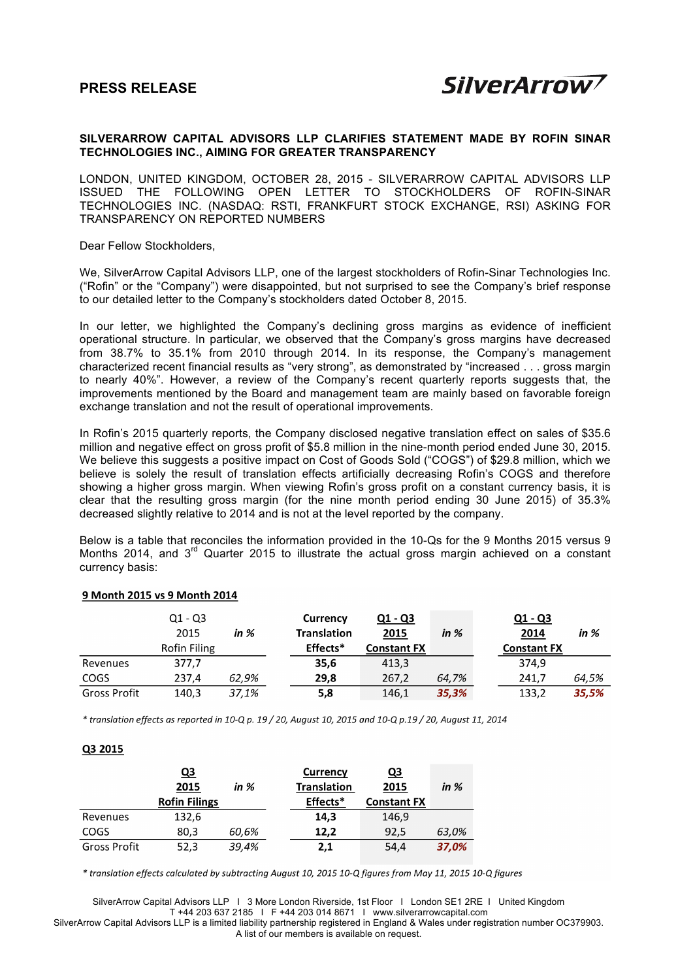in  $%$ 

# **SILVERARROW CAPITAL ADVISORS LLP CLARIFIES STATEMENT MADE BY ROFIN SINAR TECHNOLOGIES INC., AIMING FOR GREATER TRANSPARENCY**

LONDON, UNITED KINGDOM, OCTOBER 28, 2015 - SILVERARROW CAPITAL ADVISORS LLP ISSUED THE FOLLOWING OPEN LETTER TO STOCKHOLDERS OF ROFIN-SINAR TECHNOLOGIES INC. (NASDAQ: RSTI, FRANKFURT STOCK EXCHANGE, RSI) ASKING FOR TRANSPARENCY ON REPORTED NUMBERS

Dear Fellow Stockholders,

We, SilverArrow Capital Advisors LLP, one of the largest stockholders of Rofin-Sinar Technologies Inc. ("Rofin" or the "Company") were disappointed, but not surprised to see the Company's brief response to our detailed letter to the Company's stockholders dated October 8, 2015.

In our letter, we highlighted the Company's declining gross margins as evidence of inefficient operational structure. In particular, we observed that the Company's gross margins have decreased from 38.7% to 35.1% from 2010 through 2014. In its response, the Company's management characterized recent financial results as "very strong", as demonstrated by "increased . . . gross margin to nearly 40%". However, a review of the Company's recent quarterly reports suggests that, the improvements mentioned by the Board and management team are mainly based on favorable foreign exchange translation and not the result of operational improvements.

In Rofin's 2015 quarterly reports, the Company disclosed negative translation effect on sales of \$35.6 million and negative effect on gross profit of \$5.8 million in the nine-month period ended June 30, 2015. We believe this suggests a positive impact on Cost of Goods Sold ("COGS") of \$29.8 million, which we believe is solely the result of translation effects artificially decreasing Rofin's COGS and therefore showing a higher gross margin. When viewing Rofin's gross profit on a constant currency basis, it is clear that the resulting gross margin (for the nine month period ending 30 June 2015) of 35.3% decreased slightly relative to 2014 and is not at the level reported by the company.

Below is a table that reconciles the information provided in the 10-Qs for the 9 Months 2015 versus 9 Months 2014, and  $3<sup>rd</sup>$  Quarter 2015 to illustrate the actual gross margin achieved on a constant currency basis:

#### $Q1 - Q3$ Currency  $Q1 - Q3$  $Q1 - Q3$ 2015 **Translation** 2015 2014 in  $%$ in  $%$ **Constant FX Rofin Filing** Effects\* **Constant FX** Revenues 377,7 35,6 413,3 374,9 COGS 237,4 29,8 267,2 62,9% 64,7% 241,7 64,5% **Gross Profit**  $140,3$ 37,1%  $\overline{5,8}$ 146,1 35,3% 133,2 35,5%

## 9 Month 2015 vs 9 Month 2014

\* translation effects as reported in 10-Q p. 19 / 20, August 10, 2015 and 10-Q p.19 / 20, August 11, 2014

## Q3 2015

|              | <u>Q3</u>            |       | <b>Currency</b>    | <u>Q3</u>          |        |
|--------------|----------------------|-------|--------------------|--------------------|--------|
|              | 2015                 | in %  | <b>Translation</b> | 2015               | in $%$ |
|              | <b>Rofin Filings</b> |       | Effects*           | <b>Constant FX</b> |        |
| Revenues     | 132,6                |       | 14,3               | 146,9              |        |
| <b>COGS</b>  | 80.3                 | 60,6% | 12,2               | 92,5               | 63,0%  |
| Gross Profit | 52,3                 | 39,4% | 2,1                | 54,4               | 37,0%  |

\* translation effects calculated by subtracting August 10, 2015 10-Q figures from May 11, 2015 10-Q figures

SilverArrow Capital Advisors LLP Ι 3 More London Riverside, 1st Floor Ι London SE1 2RE Ι United Kingdom T +44 203 637 2185 Ι F +44 203 014 8671 Ι www.silverarrowcapital.com

SilverArrow Capital Advisors LLP is a limited liability partnership registered in England & Wales under registration number OC379903. A list of our members is available on request.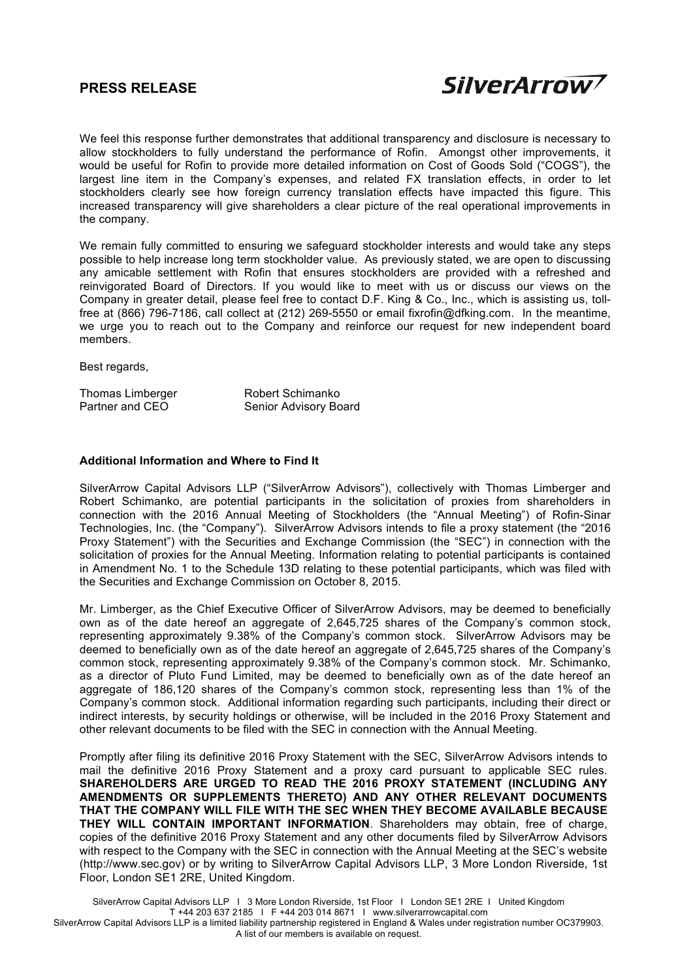# **PRESS RELEASE**



We feel this response further demonstrates that additional transparency and disclosure is necessary to allow stockholders to fully understand the performance of Rofin. Amongst other improvements, it would be useful for Rofin to provide more detailed information on Cost of Goods Sold ("COGS"), the largest line item in the Company's expenses, and related FX translation effects, in order to let stockholders clearly see how foreign currency translation effects have impacted this figure. This increased transparency will give shareholders a clear picture of the real operational improvements in the company.

We remain fully committed to ensuring we safeguard stockholder interests and would take any steps possible to help increase long term stockholder value. As previously stated, we are open to discussing any amicable settlement with Rofin that ensures stockholders are provided with a refreshed and reinvigorated Board of Directors. If you would like to meet with us or discuss our views on the Company in greater detail, please feel free to contact D.F. King & Co., Inc., which is assisting us, tollfree at (866) 796-7186, call collect at (212) 269-5550 or email fixrofin@dfking.com. In the meantime, we urge you to reach out to the Company and reinforce our request for new independent board members.

Best regards,

| Thomas Limberger | Robert Schimanko      |
|------------------|-----------------------|
| Partner and CEO  | Senior Advisory Board |

## **Additional Information and Where to Find It**

SilverArrow Capital Advisors LLP ("SilverArrow Advisors"), collectively with Thomas Limberger and Robert Schimanko, are potential participants in the solicitation of proxies from shareholders in connection with the 2016 Annual Meeting of Stockholders (the "Annual Meeting") of Rofin-Sinar Technologies, Inc. (the "Company"). SilverArrow Advisors intends to file a proxy statement (the "2016 Proxy Statement") with the Securities and Exchange Commission (the "SEC") in connection with the solicitation of proxies for the Annual Meeting. Information relating to potential participants is contained in Amendment No. 1 to the Schedule 13D relating to these potential participants, which was filed with the Securities and Exchange Commission on October 8, 2015.

Mr. Limberger, as the Chief Executive Officer of SilverArrow Advisors, may be deemed to beneficially own as of the date hereof an aggregate of 2,645,725 shares of the Company's common stock, representing approximately 9.38% of the Company's common stock. SilverArrow Advisors may be deemed to beneficially own as of the date hereof an aggregate of 2,645,725 shares of the Company's common stock, representing approximately 9.38% of the Company's common stock. Mr. Schimanko, as a director of Pluto Fund Limited, may be deemed to beneficially own as of the date hereof an aggregate of 186,120 shares of the Company's common stock, representing less than 1% of the Company's common stock. Additional information regarding such participants, including their direct or indirect interests, by security holdings or otherwise, will be included in the 2016 Proxy Statement and other relevant documents to be filed with the SEC in connection with the Annual Meeting.

Promptly after filing its definitive 2016 Proxy Statement with the SEC, SilverArrow Advisors intends to mail the definitive 2016 Proxy Statement and a proxy card pursuant to applicable SEC rules. **SHAREHOLDERS ARE URGED TO READ THE 2016 PROXY STATEMENT (INCLUDING ANY AMENDMENTS OR SUPPLEMENTS THERETO) AND ANY OTHER RELEVANT DOCUMENTS THAT THE COMPANY WILL FILE WITH THE SEC WHEN THEY BECOME AVAILABLE BECAUSE THEY WILL CONTAIN IMPORTANT INFORMATION**. Shareholders may obtain, free of charge, copies of the definitive 2016 Proxy Statement and any other documents filed by SilverArrow Advisors with respect to the Company with the SEC in connection with the Annual Meeting at the SEC's website (http://www.sec.gov) or by writing to SilverArrow Capital Advisors LLP, 3 More London Riverside, 1st Floor, London SE1 2RE, United Kingdom.